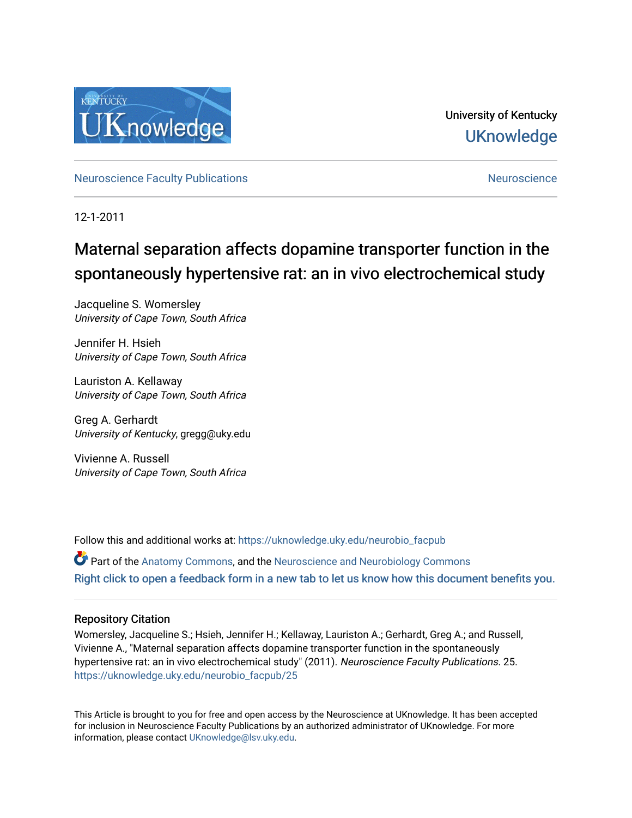

University of Kentucky **UKnowledge** 

[Neuroscience Faculty Publications](https://uknowledge.uky.edu/neurobio_facpub) [Neuroscience](https://uknowledge.uky.edu/neurobio) Neuroscience

12-1-2011

## Maternal separation affects dopamine transporter function in the spontaneously hypertensive rat: an in vivo electrochemical study

Jacqueline S. Womersley University of Cape Town, South Africa

Jennifer H. Hsieh University of Cape Town, South Africa

Lauriston A. Kellaway University of Cape Town, South Africa

Greg A. Gerhardt University of Kentucky, gregg@uky.edu

Vivienne A. Russell University of Cape Town, South Africa

Follow this and additional works at: [https://uknowledge.uky.edu/neurobio\\_facpub](https://uknowledge.uky.edu/neurobio_facpub?utm_source=uknowledge.uky.edu%2Fneurobio_facpub%2F25&utm_medium=PDF&utm_campaign=PDFCoverPages) 

Part of the [Anatomy Commons,](http://network.bepress.com/hgg/discipline/903?utm_source=uknowledge.uky.edu%2Fneurobio_facpub%2F25&utm_medium=PDF&utm_campaign=PDFCoverPages) and the [Neuroscience and Neurobiology Commons](http://network.bepress.com/hgg/discipline/55?utm_source=uknowledge.uky.edu%2Fneurobio_facpub%2F25&utm_medium=PDF&utm_campaign=PDFCoverPages) [Right click to open a feedback form in a new tab to let us know how this document benefits you.](https://uky.az1.qualtrics.com/jfe/form/SV_9mq8fx2GnONRfz7)

## Repository Citation

Womersley, Jacqueline S.; Hsieh, Jennifer H.; Kellaway, Lauriston A.; Gerhardt, Greg A.; and Russell, Vivienne A., "Maternal separation affects dopamine transporter function in the spontaneously hypertensive rat: an in vivo electrochemical study" (2011). Neuroscience Faculty Publications. 25. [https://uknowledge.uky.edu/neurobio\\_facpub/25](https://uknowledge.uky.edu/neurobio_facpub/25?utm_source=uknowledge.uky.edu%2Fneurobio_facpub%2F25&utm_medium=PDF&utm_campaign=PDFCoverPages)

This Article is brought to you for free and open access by the Neuroscience at UKnowledge. It has been accepted for inclusion in Neuroscience Faculty Publications by an authorized administrator of UKnowledge. For more information, please contact [UKnowledge@lsv.uky.edu](mailto:UKnowledge@lsv.uky.edu).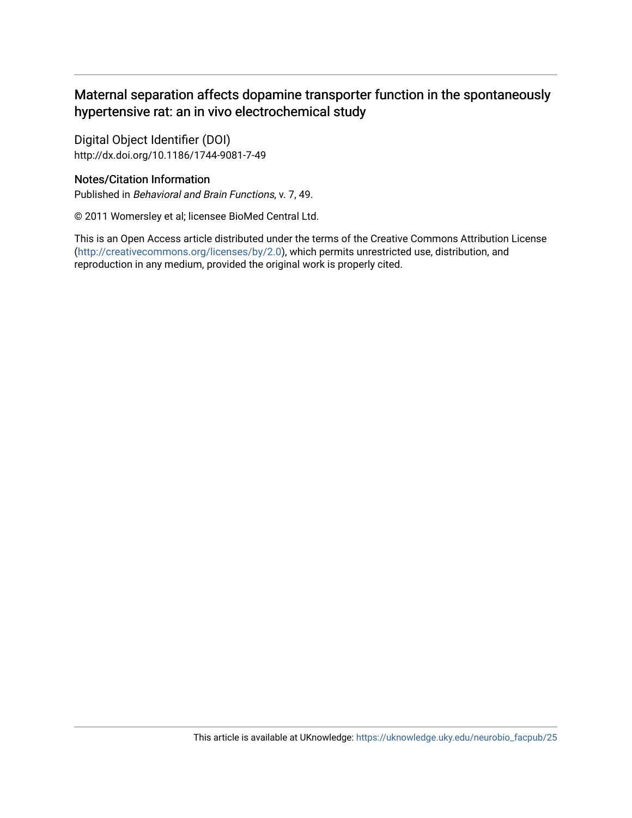## Maternal separation affects dopamine transporter function in the spontaneously hypertensive rat: an in vivo electrochemical study

Digital Object Identifier (DOI) http://dx.doi.org/10.1186/1744-9081-7-49

## Notes/Citation Information

Published in Behavioral and Brain Functions, v. 7, 49.

© 2011 Womersley et al; licensee BioMed Central Ltd.

This is an Open Access article distributed under the terms of the Creative Commons Attribution License [\(http://creativecommons.org/licenses/by/2.0\)](http://creativecommons.org/licenses/by/2.0), which permits unrestricted use, distribution, and reproduction in any medium, provided the original work is properly cited.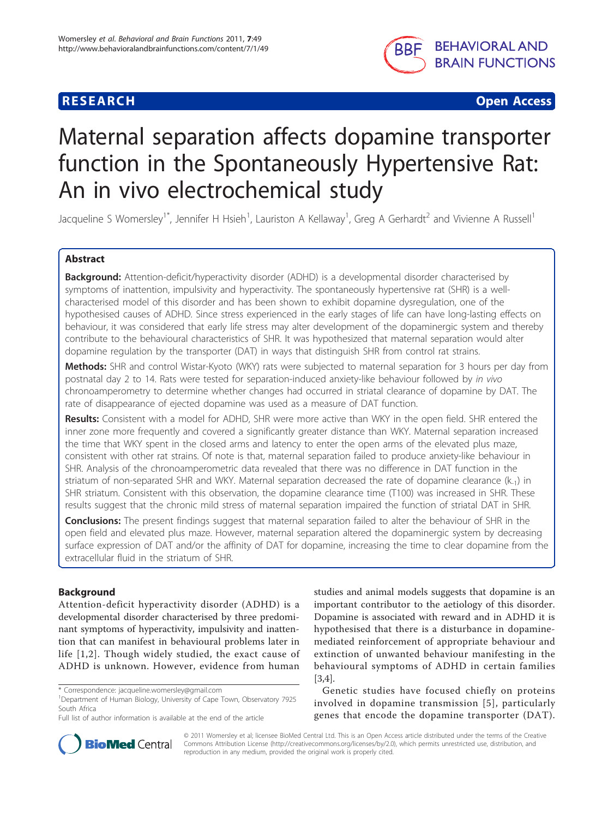## **RESEARCH CHRISTIAN CONSUMING CONTRACT CONSUMING CONSUMING CONSUMING CONSUMING CONSUMING CONSUMING CONSUMING CO**



# Maternal separation affects dopamine transporter function in the Spontaneously Hypertensive Rat: An in vivo electrochemical study

Jacqueline S Womersley<sup>1\*</sup>, Jennifer H Hsieh<sup>1</sup>, Lauriston A Kellaway<sup>1</sup>, Greg A Gerhardt<sup>2</sup> and Vivienne A Russell<sup>1</sup>

#### Abstract

Background: Attention-deficit/hyperactivity disorder (ADHD) is a developmental disorder characterised by symptoms of inattention, impulsivity and hyperactivity. The spontaneously hypertensive rat (SHR) is a wellcharacterised model of this disorder and has been shown to exhibit dopamine dysregulation, one of the hypothesised causes of ADHD. Since stress experienced in the early stages of life can have long-lasting effects on behaviour, it was considered that early life stress may alter development of the dopaminergic system and thereby contribute to the behavioural characteristics of SHR. It was hypothesized that maternal separation would alter dopamine regulation by the transporter (DAT) in ways that distinguish SHR from control rat strains.

Methods: SHR and control Wistar-Kyoto (WKY) rats were subjected to maternal separation for 3 hours per day from postnatal day 2 to 14. Rats were tested for separation-induced anxiety-like behaviour followed by in vivo chronoamperometry to determine whether changes had occurred in striatal clearance of dopamine by DAT. The rate of disappearance of ejected dopamine was used as a measure of DAT function.

Results: Consistent with a model for ADHD, SHR were more active than WKY in the open field. SHR entered the inner zone more frequently and covered a significantly greater distance than WKY. Maternal separation increased the time that WKY spent in the closed arms and latency to enter the open arms of the elevated plus maze, consistent with other rat strains. Of note is that, maternal separation failed to produce anxiety-like behaviour in SHR. Analysis of the chronoamperometric data revealed that there was no difference in DAT function in the striatum of non-separated SHR and WKY. Maternal separation decreased the rate of dopamine clearance  $(k_1)$  in SHR striatum. Consistent with this observation, the dopamine clearance time (T100) was increased in SHR. These results suggest that the chronic mild stress of maternal separation impaired the function of striatal DAT in SHR.

Conclusions: The present findings suggest that maternal separation failed to alter the behaviour of SHR in the open field and elevated plus maze. However, maternal separation altered the dopaminergic system by decreasing surface expression of DAT and/or the affinity of DAT for dopamine, increasing the time to clear dopamine from the extracellular fluid in the striatum of SHR.

#### Background

Attention-deficit hyperactivity disorder (ADHD) is a developmental disorder characterised by three predominant symptoms of hyperactivity, impulsivity and inattention that can manifest in behavioural problems later in life [[1](#page-10-0),[2](#page-10-0)]. Though widely studied, the exact cause of ADHD is unknown. However, evidence from human

studies and animal models suggests that dopamine is an important contributor to the aetiology of this disorder. Dopamine is associated with reward and in ADHD it is hypothesised that there is a disturbance in dopaminemediated reinforcement of appropriate behaviour and extinction of unwanted behaviour manifesting in the behavioural symptoms of ADHD in certain families [[3,4\]](#page-10-0).

Genetic studies have focused chiefly on proteins involved in dopamine transmission [[5](#page-10-0)], particularly genes that encode the dopamine transporter (DAT).



© 2011 Womersley et al; licensee BioMed Central Ltd. This is an Open Access article distributed under the terms of the Creative Commons Attribution License [\(http://creativecommons.org/licenses/by/2.0](http://creativecommons.org/licenses/by/2.0)), which permits unrestricted use, distribution, and reproduction in any medium, provided the original work is properly cited.

<sup>\*</sup> Correspondence: [jacqueline.womersley@gmail.com](mailto:jacqueline.womersley@gmail.com)

<sup>&</sup>lt;sup>1</sup>Department of Human Biology, University of Cape Town, Observatory 7925 South Africa

Full list of author information is available at the end of the article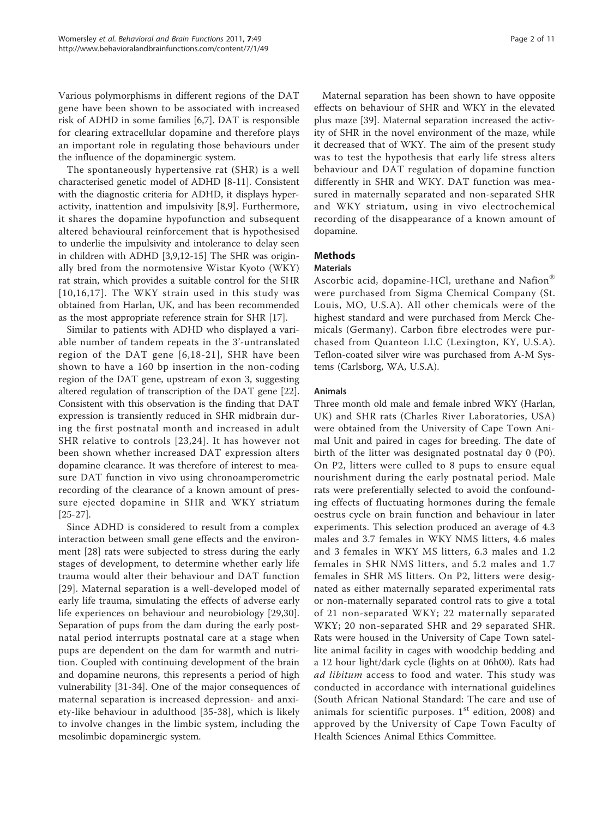Various polymorphisms in different regions of the DAT gene have been shown to be associated with increased risk of ADHD in some families [\[6,7\]](#page-10-0). DAT is responsible for clearing extracellular dopamine and therefore plays an important role in regulating those behaviours under the influence of the dopaminergic system.

The spontaneously hypertensive rat (SHR) is a well characterised genetic model of ADHD [[8-11\]](#page-10-0). Consistent with the diagnostic criteria for ADHD, it displays hyperactivity, inattention and impulsivity [[8,9\]](#page-10-0). Furthermore, it shares the dopamine hypofunction and subsequent altered behavioural reinforcement that is hypothesised to underlie the impulsivity and intolerance to delay seen in children with ADHD [\[3,9,12](#page-10-0)-[15\]](#page-11-0) The SHR was originally bred from the normotensive Wistar Kyoto (WKY) rat strain, which provides a suitable control for the SHR [[10](#page-10-0),[16](#page-11-0),[17\]](#page-11-0). The WKY strain used in this study was obtained from Harlan, UK, and has been recommended as the most appropriate reference strain for SHR [\[17\]](#page-11-0).

Similar to patients with ADHD who displayed a variable number of tandem repeats in the 3'-untranslated region of the DAT gene [[6](#page-10-0),[18](#page-11-0)-[21](#page-11-0)], SHR have been shown to have a 160 bp insertion in the non-coding region of the DAT gene, upstream of exon 3, suggesting altered regulation of transcription of the DAT gene [\[22](#page-11-0)]. Consistent with this observation is the finding that DAT expression is transiently reduced in SHR midbrain during the first postnatal month and increased in adult SHR relative to controls [[23](#page-11-0),[24](#page-11-0)]. It has however not been shown whether increased DAT expression alters dopamine clearance. It was therefore of interest to measure DAT function in vivo using chronoamperometric recording of the clearance of a known amount of pressure ejected dopamine in SHR and WKY striatum [[25-27\]](#page-11-0).

Since ADHD is considered to result from a complex interaction between small gene effects and the environment [[28\]](#page-11-0) rats were subjected to stress during the early stages of development, to determine whether early life trauma would alter their behaviour and DAT function [[29](#page-11-0)]. Maternal separation is a well-developed model of early life trauma, simulating the effects of adverse early life experiences on behaviour and neurobiology [[29,30](#page-11-0)]. Separation of pups from the dam during the early postnatal period interrupts postnatal care at a stage when pups are dependent on the dam for warmth and nutrition. Coupled with continuing development of the brain and dopamine neurons, this represents a period of high vulnerability [\[31](#page-11-0)-[34\]](#page-11-0). One of the major consequences of maternal separation is increased depression- and anxiety-like behaviour in adulthood [[35](#page-11-0)-[38\]](#page-11-0), which is likely to involve changes in the limbic system, including the mesolimbic dopaminergic system.

Maternal separation has been shown to have opposite effects on behaviour of SHR and WKY in the elevated plus maze [[39\]](#page-11-0). Maternal separation increased the activity of SHR in the novel environment of the maze, while it decreased that of WKY. The aim of the present study was to test the hypothesis that early life stress alters behaviour and DAT regulation of dopamine function differently in SHR and WKY. DAT function was measured in maternally separated and non-separated SHR and WKY striatum, using in vivo electrochemical recording of the disappearance of a known amount of dopamine.

### Methods

#### **Materials**

Ascorbic acid, dopamine-HCl, urethane and Nafion® were purchased from Sigma Chemical Company (St. Louis, MO, U.S.A). All other chemicals were of the highest standard and were purchased from Merck Chemicals (Germany). Carbon fibre electrodes were purchased from Quanteon LLC (Lexington, KY, U.S.A). Teflon-coated silver wire was purchased from A-M Systems (Carlsborg, WA, U.S.A).

#### Animals

Three month old male and female inbred WKY (Harlan, UK) and SHR rats (Charles River Laboratories, USA) were obtained from the University of Cape Town Animal Unit and paired in cages for breeding. The date of birth of the litter was designated postnatal day 0 (P0). On P2, litters were culled to 8 pups to ensure equal nourishment during the early postnatal period. Male rats were preferentially selected to avoid the confounding effects of fluctuating hormones during the female oestrus cycle on brain function and behaviour in later experiments. This selection produced an average of 4.3 males and 3.7 females in WKY NMS litters, 4.6 males and 3 females in WKY MS litters, 6.3 males and 1.2 females in SHR NMS litters, and 5.2 males and 1.7 females in SHR MS litters. On P2, litters were designated as either maternally separated experimental rats or non-maternally separated control rats to give a total of 21 non-separated WKY; 22 maternally separated WKY; 20 non-separated SHR and 29 separated SHR. Rats were housed in the University of Cape Town satellite animal facility in cages with woodchip bedding and a 12 hour light/dark cycle (lights on at 06h00). Rats had ad libitum access to food and water. This study was conducted in accordance with international guidelines (South African National Standard: The care and use of animals for scientific purposes.  $1<sup>st</sup>$  edition, 2008) and approved by the University of Cape Town Faculty of Health Sciences Animal Ethics Committee.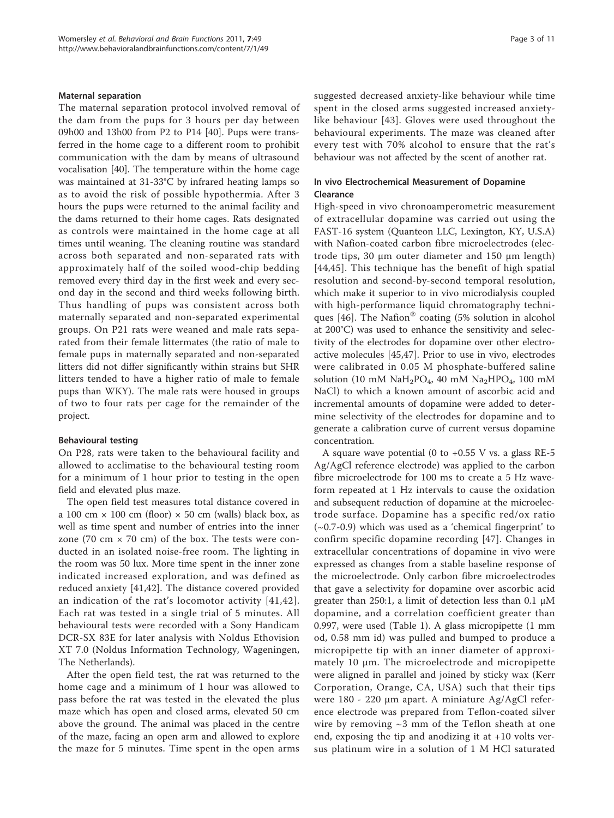#### Maternal separation

The maternal separation protocol involved removal of the dam from the pups for 3 hours per day between 09h00 and 13h00 from P2 to P14 [\[40\]](#page-11-0). Pups were transferred in the home cage to a different room to prohibit communication with the dam by means of ultrasound vocalisation [[40\]](#page-11-0). The temperature within the home cage was maintained at 31-33°C by infrared heating lamps so as to avoid the risk of possible hypothermia. After 3 hours the pups were returned to the animal facility and the dams returned to their home cages. Rats designated as controls were maintained in the home cage at all times until weaning. The cleaning routine was standard across both separated and non-separated rats with approximately half of the soiled wood-chip bedding removed every third day in the first week and every second day in the second and third weeks following birth. Thus handling of pups was consistent across both maternally separated and non-separated experimental groups. On P21 rats were weaned and male rats separated from their female littermates (the ratio of male to female pups in maternally separated and non-separated litters did not differ significantly within strains but SHR litters tended to have a higher ratio of male to female pups than WKY). The male rats were housed in groups of two to four rats per cage for the remainder of the project.

#### Behavioural testing

On P28, rats were taken to the behavioural facility and allowed to acclimatise to the behavioural testing room for a minimum of 1 hour prior to testing in the open field and elevated plus maze.

The open field test measures total distance covered in a 100 cm  $\times$  100 cm (floor)  $\times$  50 cm (walls) black box, as well as time spent and number of entries into the inner zone (70 cm  $\times$  70 cm) of the box. The tests were conducted in an isolated noise-free room. The lighting in the room was 50 lux. More time spent in the inner zone indicated increased exploration, and was defined as reduced anxiety [[41,42\]](#page-11-0). The distance covered provided an indication of the rat's locomotor activity [[41,42\]](#page-11-0). Each rat was tested in a single trial of 5 minutes. All behavioural tests were recorded with a Sony Handicam DCR-SX 83E for later analysis with Noldus Ethovision XT 7.0 (Noldus Information Technology, Wageningen, The Netherlands).

After the open field test, the rat was returned to the home cage and a minimum of 1 hour was allowed to pass before the rat was tested in the elevated the plus maze which has open and closed arms, elevated 50 cm above the ground. The animal was placed in the centre of the maze, facing an open arm and allowed to explore the maze for 5 minutes. Time spent in the open arms suggested decreased anxiety-like behaviour while time spent in the closed arms suggested increased anxietylike behaviour [\[43\]](#page-11-0). Gloves were used throughout the behavioural experiments. The maze was cleaned after every test with 70% alcohol to ensure that the rat's behaviour was not affected by the scent of another rat.

#### In vivo Electrochemical Measurement of Dopamine Clearance

High-speed in vivo chronoamperometric measurement of extracellular dopamine was carried out using the FAST-16 system (Quanteon LLC, Lexington, KY, U.S.A) with Nafion-coated carbon fibre microelectrodes (electrode tips, 30 μm outer diameter and 150 μm length) [[44](#page-11-0),[45](#page-11-0)]. This technique has the benefit of high spatial resolution and second-by-second temporal resolution, which make it superior to in vivo microdialysis coupled with high-performance liquid chromatography techniques [[46\]](#page-11-0). The Nafion® coating (5% solution in alcohol at 200°C) was used to enhance the sensitivity and selectivity of the electrodes for dopamine over other electroactive molecules [[45](#page-11-0),[47](#page-11-0)]. Prior to use in vivo, electrodes were calibrated in 0.05 M phosphate-buffered saline solution (10 mM NaH<sub>2</sub>PO<sub>4</sub>, 40 mM Na<sub>2</sub>HPO<sub>4</sub>, 100 mM NaCl) to which a known amount of ascorbic acid and incremental amounts of dopamine were added to determine selectivity of the electrodes for dopamine and to generate a calibration curve of current versus dopamine concentration.

A square wave potential (0 to  $+0.55$  V vs. a glass RE-5 Ag/AgCl reference electrode) was applied to the carbon fibre microelectrode for 100 ms to create a 5 Hz waveform repeated at 1 Hz intervals to cause the oxidation and subsequent reduction of dopamine at the microelectrode surface. Dopamine has a specific red/ox ratio (~0.7-0.9) which was used as a 'chemical fingerprint' to confirm specific dopamine recording [[47](#page-11-0)]. Changes in extracellular concentrations of dopamine in vivo were expressed as changes from a stable baseline response of the microelectrode. Only carbon fibre microelectrodes that gave a selectivity for dopamine over ascorbic acid greater than 250:1, a limit of detection less than 0.1  $\mu$ M dopamine, and a correlation coefficient greater than 0.997, were used (Table [1](#page-5-0)). A glass micropipette (1 mm od, 0.58 mm id) was pulled and bumped to produce a micropipette tip with an inner diameter of approximately 10 μm. The microelectrode and micropipette were aligned in parallel and joined by sticky wax (Kerr Corporation, Orange, CA, USA) such that their tips were 180 - 220 μm apart. A miniature Ag/AgCl reference electrode was prepared from Teflon-coated silver wire by removing  $\sim$ 3 mm of the Teflon sheath at one end, exposing the tip and anodizing it at +10 volts versus platinum wire in a solution of 1 M HCl saturated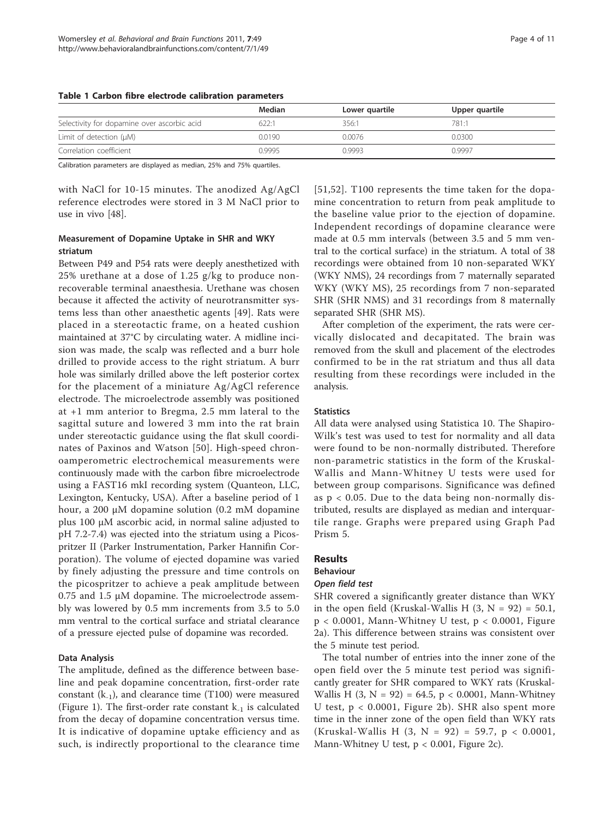<span id="page-5-0"></span>

|  |  |  |  |  |  | Table 1 Carbon fibre electrode calibration parameters |
|--|--|--|--|--|--|-------------------------------------------------------|
|--|--|--|--|--|--|-------------------------------------------------------|

|                                             | Median | Lower quartile | Upper quartile |
|---------------------------------------------|--------|----------------|----------------|
| Selectivity for dopamine over ascorbic acid | 6221   | 356:1          | 781:1          |
| Limit of detection $(\mu M)$                | 0.0190 | 0.0076         | 0.0300         |
| Correlation coefficient                     | 0.9995 | 0.9993         | 0.9997         |

Calibration parameters are displayed as median, 25% and 75% quartiles.

with NaCl for 10-15 minutes. The anodized Ag/AgCl reference electrodes were stored in 3 M NaCl prior to use in vivo [[48](#page-11-0)].

#### Measurement of Dopamine Uptake in SHR and WKY striatum

Between P49 and P54 rats were deeply anesthetized with 25% urethane at a dose of 1.25 g/kg to produce nonrecoverable terminal anaesthesia. Urethane was chosen because it affected the activity of neurotransmitter systems less than other anaesthetic agents [\[49](#page-11-0)]. Rats were placed in a stereotactic frame, on a heated cushion maintained at 37°C by circulating water. A midline incision was made, the scalp was reflected and a burr hole drilled to provide access to the right striatum. A burr hole was similarly drilled above the left posterior cortex for the placement of a miniature Ag/AgCl reference electrode. The microelectrode assembly was positioned at +1 mm anterior to Bregma, 2.5 mm lateral to the sagittal suture and lowered 3 mm into the rat brain under stereotactic guidance using the flat skull coordinates of Paxinos and Watson [[50](#page-11-0)]. High-speed chronoamperometric electrochemical measurements were continuously made with the carbon fibre microelectrode using a FAST16 mkI recording system (Quanteon, LLC, Lexington, Kentucky, USA). After a baseline period of 1 hour, a 200 μM dopamine solution (0.2 mM dopamine plus 100 μM ascorbic acid, in normal saline adjusted to pH 7.2-7.4) was ejected into the striatum using a Picospritzer II (Parker Instrumentation, Parker Hannifin Corporation). The volume of ejected dopamine was varied by finely adjusting the pressure and time controls on the picospritzer to achieve a peak amplitude between 0.75 and 1.5 μM dopamine. The microelectrode assembly was lowered by 0.5 mm increments from 3.5 to 5.0 mm ventral to the cortical surface and striatal clearance of a pressure ejected pulse of dopamine was recorded.

#### Data Analysis

The amplitude, defined as the difference between baseline and peak dopamine concentration, first-order rate constant  $(k_1)$ , and clearance time (T100) were measured (Figure [1](#page-6-0)). The first-order rate constant  $k_{-1}$  is calculated from the decay of dopamine concentration versus time. It is indicative of dopamine uptake efficiency and as such, is indirectly proportional to the clearance time

[[51](#page-11-0),[52](#page-11-0)]. T100 represents the time taken for the dopamine concentration to return from peak amplitude to the baseline value prior to the ejection of dopamine. Independent recordings of dopamine clearance were made at 0.5 mm intervals (between 3.5 and 5 mm ventral to the cortical surface) in the striatum. A total of 38 recordings were obtained from 10 non-separated WKY (WKY NMS), 24 recordings from 7 maternally separated WKY (WKY MS), 25 recordings from 7 non-separated SHR (SHR NMS) and 31 recordings from 8 maternally separated SHR (SHR MS).

After completion of the experiment, the rats were cervically dislocated and decapitated. The brain was removed from the skull and placement of the electrodes confirmed to be in the rat striatum and thus all data resulting from these recordings were included in the analysis.

#### **Statistics**

All data were analysed using Statistica 10. The Shapiro-Wilk's test was used to test for normality and all data were found to be non-normally distributed. Therefore non-parametric statistics in the form of the Kruskal-Wallis and Mann-Whitney U tests were used for between group comparisons. Significance was defined as  $p < 0.05$ . Due to the data being non-normally distributed, results are displayed as median and interquartile range. Graphs were prepared using Graph Pad Prism 5.

#### Results

#### Behaviour

#### Open field test

SHR covered a significantly greater distance than WKY in the open field (Kruskal-Wallis H  $(3, N = 92) = 50.1$ , p < 0.0001, Mann-Whitney U test, p < 0.0001, Figure [2a](#page-7-0)). This difference between strains was consistent over the 5 minute test period.

The total number of entries into the inner zone of the open field over the 5 minute test period was significantly greater for SHR compared to WKY rats (Kruskal-Wallis H  $(3, N = 92) = 64.5, p < 0.0001$ , Mann-Whitney U test, p < 0.0001, Figure [2b](#page-7-0)). SHR also spent more time in the inner zone of the open field than WKY rats  $(Kruskal-Wallis H (3, N = 92) = 59.7, p < 0.0001,$ Mann-Whitney U test, p < 0.001, Figure [2c](#page-7-0)).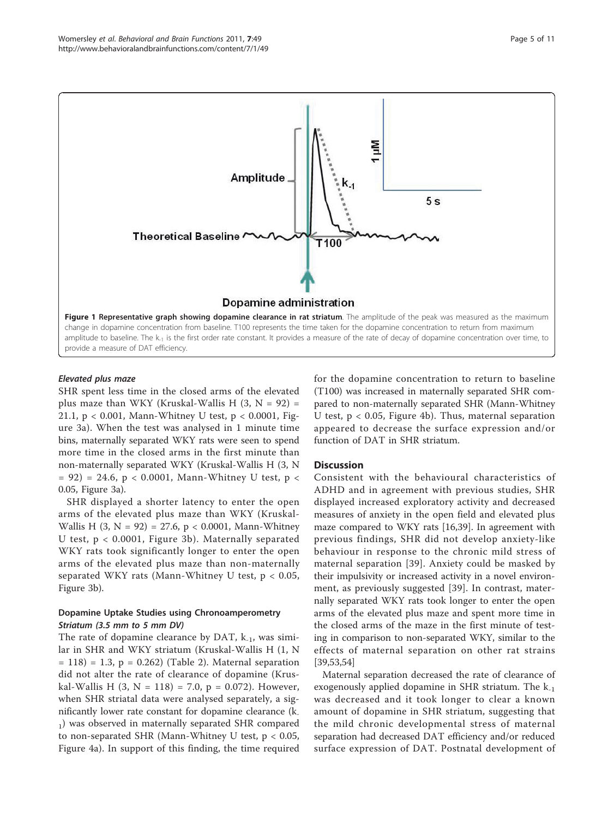<span id="page-6-0"></span>

#### Elevated plus maze

SHR spent less time in the closed arms of the elevated plus maze than WKY (Kruskal-Wallis H  $(3, N = 92)$  = 21.1, p < 0.001, Mann-Whitney U test, p < 0.0001, Figure [3a\)](#page-7-0). When the test was analysed in 1 minute time bins, maternally separated WKY rats were seen to spend more time in the closed arms in the first minute than non-maternally separated WKY (Kruskal-Wallis H (3, N  $= 92$ ) = 24.6, p < 0.0001, Mann-Whitney U test, p < 0.05, Figure [3a\)](#page-7-0).

SHR displayed a shorter latency to enter the open arms of the elevated plus maze than WKY (Kruskal-Wallis H (3, N = 92) = 27.6, p < 0.0001, Mann-Whitney U test, p < 0.0001, Figure [3b](#page-7-0)). Maternally separated WKY rats took significantly longer to enter the open arms of the elevated plus maze than non-maternally separated WKY rats (Mann-Whitney U test,  $p < 0.05$ , Figure [3b\)](#page-7-0).

#### Dopamine Uptake Studies using Chronoamperometry Striatum (3.5 mm to 5 mm DV)

The rate of dopamine clearance by DAT,  $k_{-1}$ , was similar in SHR and WKY striatum (Kruskal-Wallis H (1, N  $= 118$ ) = 1.3, p = 0.262) (Table [2](#page-8-0)). Maternal separation did not alter the rate of clearance of dopamine (Kruskal-Wallis H  $(3, N = 118) = 7.0$ ,  $p = 0.072$ ). However, when SHR striatal data were analysed separately, a significantly lower rate constant for dopamine clearance  $(k_{-})$  $_1$ ) was observed in maternally separated SHR compared to non-separated SHR (Mann-Whitney U test, p < 0.05, Figure [4a\)](#page-9-0). In support of this finding, the time required for the dopamine concentration to return to baseline (T100) was increased in maternally separated SHR compared to non-maternally separated SHR (Mann-Whitney U test, p < 0.05, Figure [4b\)](#page-9-0). Thus, maternal separation appeared to decrease the surface expression and/or function of DAT in SHR striatum.

#### **Discussion**

Consistent with the behavioural characteristics of ADHD and in agreement with previous studies, SHR displayed increased exploratory activity and decreased measures of anxiety in the open field and elevated plus maze compared to WKY rats [\[16,39\]](#page-11-0). In agreement with previous findings, SHR did not develop anxiety-like behaviour in response to the chronic mild stress of maternal separation [[39](#page-11-0)]. Anxiety could be masked by their impulsivity or increased activity in a novel environment, as previously suggested [[39\]](#page-11-0). In contrast, maternally separated WKY rats took longer to enter the open arms of the elevated plus maze and spent more time in the closed arms of the maze in the first minute of testing in comparison to non-separated WKY, similar to the effects of maternal separation on other rat strains [[39,53,54](#page-11-0)]

Maternal separation decreased the rate of clearance of exogenously applied dopamine in SHR striatum. The  $k_{-1}$ was decreased and it took longer to clear a known amount of dopamine in SHR striatum, suggesting that the mild chronic developmental stress of maternal separation had decreased DAT efficiency and/or reduced surface expression of DAT. Postnatal development of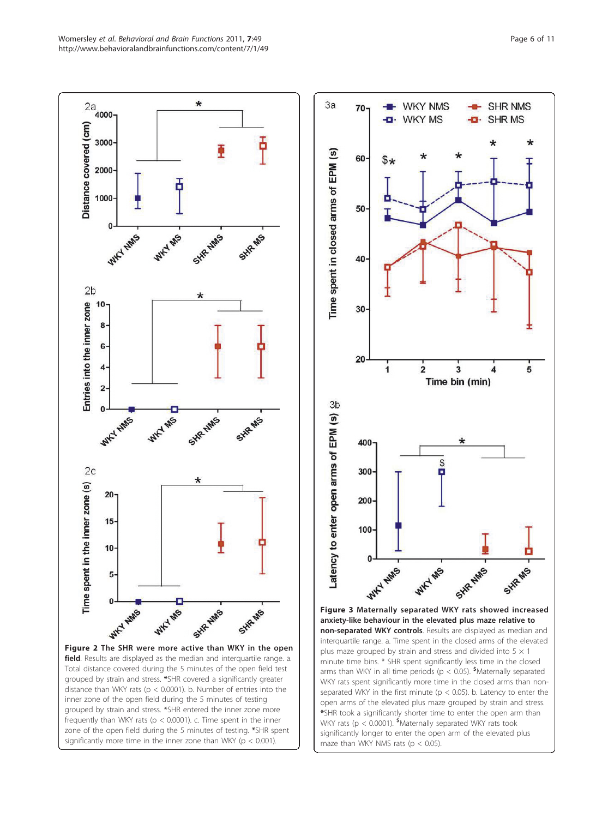<span id="page-7-0"></span>

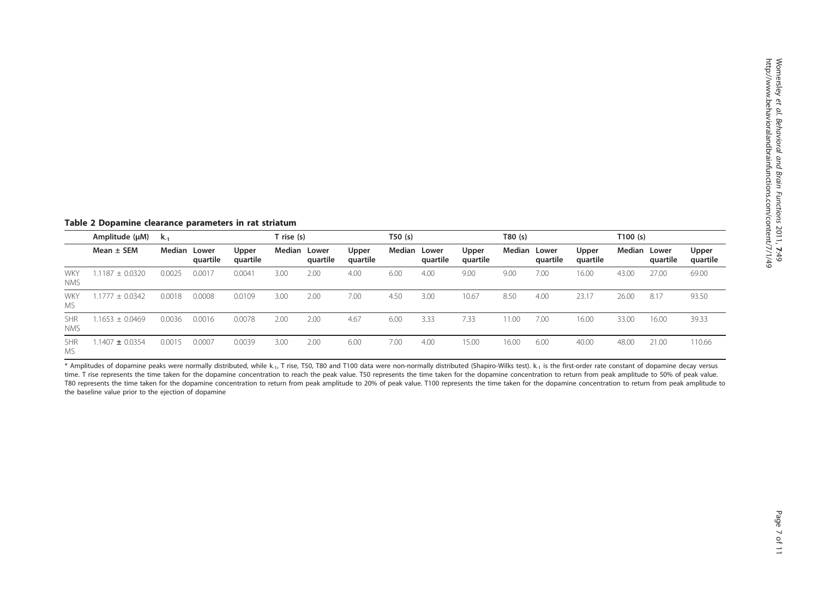<span id="page-8-0"></span>Table 2 Dopamine clearance parameters in rat striatum

|                          | Amplitude (µM)      | $k_{-1}$     |          |                   | T rise (s)   |          |                          | T50 (s) |                   |                   | T80 (s)      |          |                   | T100(s) |                   |                   |
|--------------------------|---------------------|--------------|----------|-------------------|--------------|----------|--------------------------|---------|-------------------|-------------------|--------------|----------|-------------------|---------|-------------------|-------------------|
|                          | Mean $\pm$ SEM      | Median Lower | quartile | Upper<br>quartile | Median Lower | quartile | <b>Upper</b><br>quartile | Median  | Lower<br>quartile | Upper<br>quartile | Median Lower | quartile | Upper<br>quartile | Median  | Lower<br>quartile | Upper<br>quartile |
| <b>WKY</b><br><b>NMS</b> | $1.1187 \pm 0.0320$ | 0.0025       | 0.0017   | 0.0041            | 3.00         | 2.00     | 4.00                     | 6.00    | 4.00              | 9.00              | 9.00         | 7.00     | 16.00             | 43.00   | 27.00             | 69.00             |
| <b>WKY</b><br>MS.        | $1.1777 \pm 0.0342$ | 0.0018       | 0.0008   | 0.0109            | 3.00         | 2.00     | 7.00                     | 4.50    | 3.00              | 10.67             | 8.50         | 4.00     | 23.17             | 26.00   | 8.17              | 93.50             |
| <b>SHR</b><br><b>NMS</b> | $1.1653 \pm 0.0469$ | 0.0036       | 0.0016   | 0.0078            | 2.00         | 2.00     | 4.67                     | 6.00    | 3.33              | 7.33              | 11.00        | 7.00     | 16.00             | 33.00   | 16.00             | 39.33             |
| <b>SHR</b><br><b>MS</b>  | $1407 \pm 0.0354$   | 0.0015       | 0.0007   | 0.0039            | 3.00         | 2.00     | 6.00                     | 7.00    | 4.00              | 15.00             | 16.00        | 6.00     | 40.00             | 48.00   | 21.00             | 110.66            |

\* Amplitudes of dopamine peaks were normally distributed, while k<sub>-1</sub>, T rise, T50, T80 and T100 data were non-normally distributed (Shapiro-Wilks test). k<sub>-1</sub> is the first-order rate constant of dopamine decay versus time. T rise represents the time taken for the dopamine concentration to reach the peak value. T50 represents the time taken for the dopamine concentration to return from peak amplitude to 50% of peak value. T80 represents the time taken for the dopamine concentration to return from peak amplitude to 20% of peak value. T100 represents the time taken for the dopamine concentration to return from peak amplitude to the baseline value prior to the ejection of dopamine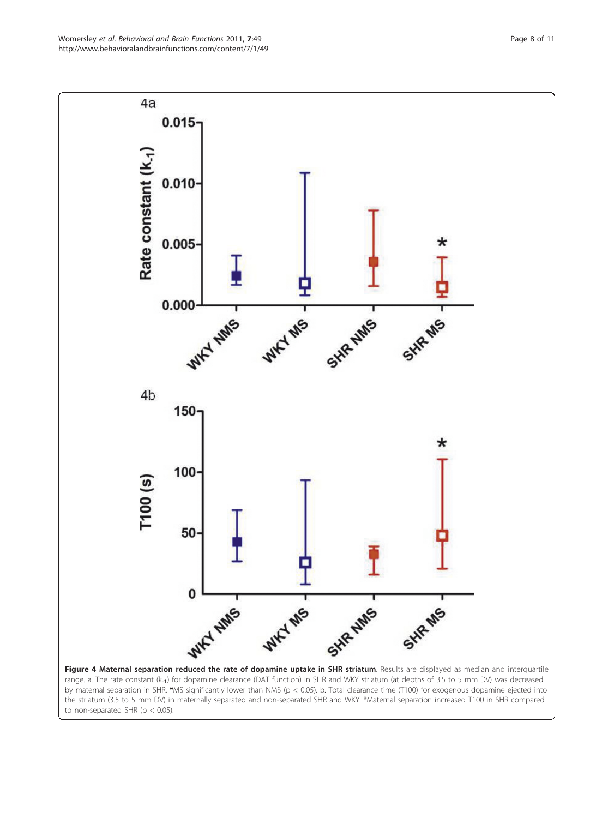<span id="page-9-0"></span>

range. a. The rate constant (k-1) for dopamine clearance (DAT function) in SHR and WKY striatum (at depths of 3.5 to 5 mm DV) was decreased by maternal separation in SHR. \*MS significantly lower than NMS (p < 0.05). b. Total clearance time (T100) for exogenous dopamine ejected into the striatum (3.5 to 5 mm DV) in maternally separated and non-separated SHR and WKY. \*Maternal separation increased T100 in SHR compared to non-separated SHR ( $p < 0.05$ ).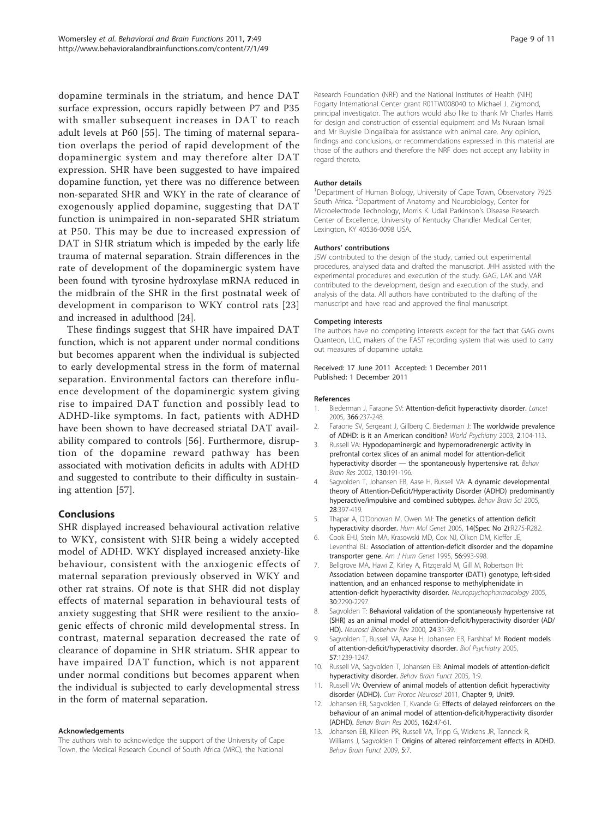<span id="page-10-0"></span>dopamine terminals in the striatum, and hence DAT surface expression, occurs rapidly between P7 and P35 with smaller subsequent increases in DAT to reach adult levels at P60 [\[55](#page-11-0)]. The timing of maternal separation overlaps the period of rapid development of the dopaminergic system and may therefore alter DAT expression. SHR have been suggested to have impaired dopamine function, yet there was no difference between non-separated SHR and WKY in the rate of clearance of exogenously applied dopamine, suggesting that DAT function is unimpaired in non-separated SHR striatum at P50. This may be due to increased expression of DAT in SHR striatum which is impeded by the early life trauma of maternal separation. Strain differences in the rate of development of the dopaminergic system have been found with tyrosine hydroxylase mRNA reduced in the midbrain of the SHR in the first postnatal week of development in comparison to WKY control rats [[23](#page-11-0)] and increased in adulthood [[24\]](#page-11-0).

These findings suggest that SHR have impaired DAT function, which is not apparent under normal conditions but becomes apparent when the individual is subjected to early developmental stress in the form of maternal separation. Environmental factors can therefore influence development of the dopaminergic system giving rise to impaired DAT function and possibly lead to ADHD-like symptoms. In fact, patients with ADHD have been shown to have decreased striatal DAT availability compared to controls [[56\]](#page-12-0). Furthermore, disruption of the dopamine reward pathway has been associated with motivation deficits in adults with ADHD and suggested to contribute to their difficulty in sustaining attention [[57](#page-12-0)].

#### Conclusions

SHR displayed increased behavioural activation relative to WKY, consistent with SHR being a widely accepted model of ADHD. WKY displayed increased anxiety-like behaviour, consistent with the anxiogenic effects of maternal separation previously observed in WKY and other rat strains. Of note is that SHR did not display effects of maternal separation in behavioural tests of anxiety suggesting that SHR were resilient to the anxiogenic effects of chronic mild developmental stress. In contrast, maternal separation decreased the rate of clearance of dopamine in SHR striatum. SHR appear to have impaired DAT function, which is not apparent under normal conditions but becomes apparent when the individual is subjected to early developmental stress in the form of maternal separation.

#### Acknowledgements

The authors wish to acknowledge the support of the University of Cape Town, the Medical Research Council of South Africa (MRC), the National

Research Foundation (NRF) and the National Institutes of Health (NIH) Fogarty International Center grant R01TW008040 to Michael J. Zigmond, principal investigator. The authors would also like to thank Mr Charles Harris for design and construction of essential equipment and Ms Nuraan Ismail and Mr Buyisile Dingalibala for assistance with animal care. Any opinion, findings and conclusions, or recommendations expressed in this material are those of the authors and therefore the NRF does not accept any liability in regard thereto.

#### Author details

<sup>1</sup>Department of Human Biology, University of Cape Town, Observatory 7925 South Africa. <sup>2</sup>Department of Anatomy and Neurobiology, Center for Microelectrode Technology, Morris K. Udall Parkinson's Disease Research Center of Excellence, University of Kentucky Chandler Medical Center, Lexington, KY 40536-0098 USA.

#### Authors' contributions

JSW contributed to the design of the study, carried out experimental procedures, analysed data and drafted the manuscript. JHH assisted with the experimental procedures and execution of the study. GAG, LAK and VAR contributed to the development, design and execution of the study, and analysis of the data. All authors have contributed to the drafting of the manuscript and have read and approved the final manuscript.

#### Competing interests

The authors have no competing interests except for the fact that GAG owns Quanteon, LLC, makers of the FAST recording system that was used to carry out measures of dopamine uptake.

#### Received: 17 June 2011 Accepted: 1 December 2011 Published: 1 December 2011

#### References

- Biederman J, Faraone SV: [Attention-deficit hyperactivity disorder.](http://www.ncbi.nlm.nih.gov/pubmed/16023516?dopt=Abstract) Lancet 2005, 366:237-248.
- 2. Faraone SV, Sergeant J, Gillberg C, Biederman J: [The worldwide prevalence](http://www.ncbi.nlm.nih.gov/pubmed/16946912?dopt=Abstract) [of ADHD: is it an American condition?](http://www.ncbi.nlm.nih.gov/pubmed/16946912?dopt=Abstract) World Psychiatry 2003, 2:104-113.
- 3. Russell VA: [Hypodopaminergic and hypernoradrenergic activity in](http://www.ncbi.nlm.nih.gov/pubmed/11864734?dopt=Abstract) [prefrontal cortex slices of an animal model for attention-deficit](http://www.ncbi.nlm.nih.gov/pubmed/11864734?dopt=Abstract) hyperactivity disorder - [the spontaneously hypertensive rat.](http://www.ncbi.nlm.nih.gov/pubmed/11864734?dopt=Abstract) Behav Brain Res 2002, 130:191-196.
- 4. Sagvolden T, Johansen EB, Aase H, Russell VA: [A dynamic developmental](http://www.ncbi.nlm.nih.gov/pubmed/16209748?dopt=Abstract) [theory of Attention-Deficit/Hyperactivity Disorder \(ADHD\) predominantly](http://www.ncbi.nlm.nih.gov/pubmed/16209748?dopt=Abstract) [hyperactive/impulsive and combined subtypes.](http://www.ncbi.nlm.nih.gov/pubmed/16209748?dopt=Abstract) Behav Brain Sci 2005, 28:397-419.
- 5. Thapar A, O'Donovan M, Owen MJ: [The genetics of attention deficit](http://www.ncbi.nlm.nih.gov/pubmed/16244326?dopt=Abstract) [hyperactivity disorder.](http://www.ncbi.nlm.nih.gov/pubmed/16244326?dopt=Abstract) Hum Mol Genet 2005, 14(Spec No 2):R275-R282.
- 6. Cook EHJ, Stein MA, Krasowski MD, Cox NJ, Olkon DM, Kieffer JE, Leventhal BL: [Association of attention-deficit disorder and the dopamine](http://www.ncbi.nlm.nih.gov/pubmed/7717410?dopt=Abstract) [transporter gene.](http://www.ncbi.nlm.nih.gov/pubmed/7717410?dopt=Abstract) Am J Hum Genet 1995, 56:993-998.
- 7. Bellgrove MA, Hawi Z, Kirley A, Fitzgerald M, Gill M, Robertson IH: [Association between dopamine transporter \(DAT1\) genotype, left-sided](http://www.ncbi.nlm.nih.gov/pubmed/16123773?dopt=Abstract) [inattention, and an enhanced response to methylphenidate in](http://www.ncbi.nlm.nih.gov/pubmed/16123773?dopt=Abstract) [attention-deficit hyperactivity disorder.](http://www.ncbi.nlm.nih.gov/pubmed/16123773?dopt=Abstract) Neuropsychopharmacology 2005, 30:2290-2297.
- 8. Sagvolden T: [Behavioral validation of the spontaneously hypertensive rat](http://www.ncbi.nlm.nih.gov/pubmed/10654658?dopt=Abstract) [\(SHR\) as an animal model of attention-deficit/hyperactivity disorder \(AD/](http://www.ncbi.nlm.nih.gov/pubmed/10654658?dopt=Abstract) [HD\).](http://www.ncbi.nlm.nih.gov/pubmed/10654658?dopt=Abstract) Neurosci Biobehav Rev 2000, 24:31-39.
- 9. Sagvolden T, Russell VA, Aase H, Johansen EB, Farshbaf M: [Rodent models](http://www.ncbi.nlm.nih.gov/pubmed/15949994?dopt=Abstract) [of attention-deficit/hyperactivity disorder.](http://www.ncbi.nlm.nih.gov/pubmed/15949994?dopt=Abstract) Biol Psychiatry 2005, 57:1239-1247.
- 10. Russell VA, Sagvolden T, Johansen EB: [Animal models of attention-deficit](http://www.ncbi.nlm.nih.gov/pubmed/16022733?dopt=Abstract) [hyperactivity disorder.](http://www.ncbi.nlm.nih.gov/pubmed/16022733?dopt=Abstract) Behav Brain Funct 2005, 1:9.
- 11. Russell VA: Overview of animal models of attention deficit hyperactivity disorder (ADHD). Curr Protoc Neurosci 2011, Chapter 9, Unit9.
- 12. Johansen EB, Sagvolden T, Kvande G: [Effects of delayed reinforcers on the](http://www.ncbi.nlm.nih.gov/pubmed/15922066?dopt=Abstract) [behaviour of an animal model of attention-deficit/hyperactivity disorder](http://www.ncbi.nlm.nih.gov/pubmed/15922066?dopt=Abstract) [\(ADHD\).](http://www.ncbi.nlm.nih.gov/pubmed/15922066?dopt=Abstract) Behav Brain Res 2005, 162:47-61.
- 13. Johansen EB, Killeen PR, Russell VA, Tripp G, Wickens JR, Tannock R, Williams J, Sagvolden T: [Origins of altered reinforcement effects in ADHD.](http://www.ncbi.nlm.nih.gov/pubmed/19226460?dopt=Abstract) Behav Brain Funct 2009, 5:7.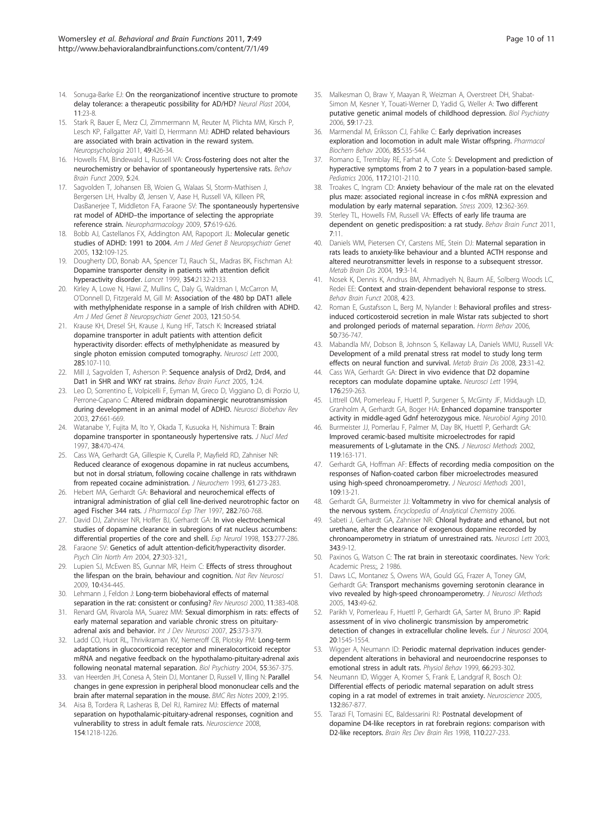- <span id="page-11-0"></span>14. Sonuga-Barke EJ: On the reorganization of incentive structure to promote [delay tolerance: a therapeutic possibility for AD/HD?](http://www.ncbi.nlm.nih.gov/pubmed/15303303?dopt=Abstract) Neural Plast 2004, 11:23-8.
- 15. Stark R, Bauer E, Merz CJ, Zimmermann M, Reuter M, Plichta MM, Kirsch P, Lesch KP, Fallgatter AP, Vaitl D, Herrmann MJ: [ADHD related behaviours](http://www.ncbi.nlm.nih.gov/pubmed/21163276?dopt=Abstract) [are associated with brain activation in the reward system.](http://www.ncbi.nlm.nih.gov/pubmed/21163276?dopt=Abstract) Neuropsychologia 2011, 49:426-34.
- 16. Howells FM, Bindewald L, Russell VA: [Cross-fostering does not alter the](http://www.ncbi.nlm.nih.gov/pubmed/19549323?dopt=Abstract) [neurochemistry or behavior of spontaneously hypertensive rats.](http://www.ncbi.nlm.nih.gov/pubmed/19549323?dopt=Abstract) Behav Brain Funct 2009, 5:24.
- 17. Sagvolden T, Johansen EB, Woien G, Walaas SI, Storm-Mathisen J, Bergersen LH, Hvalby Ø, Jensen V, Aase H, Russell VA, Killeen PR, DasBanerjee T, Middleton FA, Faraone SV: [The spontaneously hypertensive](http://www.ncbi.nlm.nih.gov/pubmed/19698722?dopt=Abstract) rat model of ADHD–[the importance of selecting the appropriate](http://www.ncbi.nlm.nih.gov/pubmed/19698722?dopt=Abstract) [reference strain.](http://www.ncbi.nlm.nih.gov/pubmed/19698722?dopt=Abstract) Neuropharmacology 2009, 57:619-626.
- 18. Bobb AJ, Castellanos FX, Addington AM, Rapoport JL: Molecular genetic studies of ADHD: 1991 to 2004. Am J Med Genet B Neuropsychiatr Genet 2005, 132:109-125.
- 19. Dougherty DD, Bonab AA, Spencer TJ, Rauch SL, Madras BK, Fischman AJ: [Dopamine transporter density in patients with attention deficit](http://www.ncbi.nlm.nih.gov/pubmed/10609822?dopt=Abstract) [hyperactivity disorder.](http://www.ncbi.nlm.nih.gov/pubmed/10609822?dopt=Abstract) Lancet 1999, 354:2132-2133.
- 20. Kirley A, Lowe N, Hawi Z, Mullins C, Daly G, Waldman I, McCarron M, O'Donnell D, Fitzgerald M, Gill M: Association of the 480 bp DAT1 allele with methylphenidate response in a sample of Irish children with ADHD. Am J Med Genet B Neuropsychiatr Genet 2003, 121:50-54.
- 21. Krause KH, Dresel SH, Krause J, Kung HF, Tatsch K: [Increased striatal](http://www.ncbi.nlm.nih.gov/pubmed/10793238?dopt=Abstract) [dopamine transporter in adult patients with attention deficit](http://www.ncbi.nlm.nih.gov/pubmed/10793238?dopt=Abstract) [hyperactivity disorder: effects of methylphenidate as measured by](http://www.ncbi.nlm.nih.gov/pubmed/10793238?dopt=Abstract) [single photon emission computed tomography.](http://www.ncbi.nlm.nih.gov/pubmed/10793238?dopt=Abstract) Neurosci Lett 2000, 285:107-110.
- 22. Mill J, Sagvolden T, Asherson P: [Sequence analysis of Drd2, Drd4, and](http://www.ncbi.nlm.nih.gov/pubmed/16356184?dopt=Abstract) [Dat1 in SHR and WKY rat strains.](http://www.ncbi.nlm.nih.gov/pubmed/16356184?dopt=Abstract) Behav Brain Funct 2005, 1:24.
- 23. Leo D, Sorrentino E, Volpicelli F, Eyman M, Greco D, Viggiano D, di Porzio U, Perrone-Capano C: [Altered midbrain dopaminergic neurotransmission](http://www.ncbi.nlm.nih.gov/pubmed/14624810?dopt=Abstract) [during development in an animal model of ADHD.](http://www.ncbi.nlm.nih.gov/pubmed/14624810?dopt=Abstract) Neurosci Biobehav Rev 2003, 27:661-669.
- 24. Watanabe Y, Fujita M, Ito Y, Okada T, Kusuoka H, Nishimura T: [Brain](http://www.ncbi.nlm.nih.gov/pubmed/9074541?dopt=Abstract) [dopamine transporter in spontaneously hypertensive rats.](http://www.ncbi.nlm.nih.gov/pubmed/9074541?dopt=Abstract) J Nucl Med 1997, 38:470-474.
- 25. Cass WA, Gerhardt GA, Gillespie K, Curella P, Mayfield RD, Zahniser NR: [Reduced clearance of exogenous dopamine in rat nucleus accumbens,](http://www.ncbi.nlm.nih.gov/pubmed/8515274?dopt=Abstract) [but not in dorsal striatum, following cocaine challenge in rats withdrawn](http://www.ncbi.nlm.nih.gov/pubmed/8515274?dopt=Abstract) [from repeated cocaine administration.](http://www.ncbi.nlm.nih.gov/pubmed/8515274?dopt=Abstract) J Neurochem 1993, 61:273-283.
- 26. Hebert MA, Gerhardt GA: [Behavioral and neurochemical effects of](http://www.ncbi.nlm.nih.gov/pubmed/9262339?dopt=Abstract) [intranigral administration of glial cell line-derived neurotrophic factor on](http://www.ncbi.nlm.nih.gov/pubmed/9262339?dopt=Abstract) [aged Fischer 344 rats.](http://www.ncbi.nlm.nih.gov/pubmed/9262339?dopt=Abstract) J Pharmacol Exp Ther 1997, 282:760-768.
- 27. David DJ, Zahniser NR, Hoffer BJ, Gerhardt GA: [In vivo electrochemical](http://www.ncbi.nlm.nih.gov/pubmed/9784287?dopt=Abstract) studies [of dopamine clearance in subregions of rat nucleus accumbens:](http://www.ncbi.nlm.nih.gov/pubmed/9784287?dopt=Abstract) [differential properties of the core and shell.](http://www.ncbi.nlm.nih.gov/pubmed/9784287?dopt=Abstract) Exp Neurol 1998, 153:277-286.
- 28. Faraone SV: Genetics of adult attention-deficit/hyperactivity disorder. Psych Clin North Am 2004, 27:303-321,.
- 29. Lupien SJ, McEwen BS, Gunnar MR, Heim C: [Effects of stress throughout](http://www.ncbi.nlm.nih.gov/pubmed/19401723?dopt=Abstract) [the lifespan on the brain, behaviour and cognition.](http://www.ncbi.nlm.nih.gov/pubmed/19401723?dopt=Abstract) Nat Rev Neurosci 2009, 10:434-445.
- 30. Lehmann J, Feldon J: [Long-term biobehavioral effects of maternal](http://www.ncbi.nlm.nih.gov/pubmed/11065281?dopt=Abstract) [separation in the rat: consistent or confusing?](http://www.ncbi.nlm.nih.gov/pubmed/11065281?dopt=Abstract) Rev Neurosci 2000, 11:383-408.
- 31. Renard GM, Rivarola MA, Suarez MM: [Sexual dimorphism in rats: effects of](http://www.ncbi.nlm.nih.gov/pubmed/17764866?dopt=Abstract) [early maternal separation and variable chronic stress on pituitary](http://www.ncbi.nlm.nih.gov/pubmed/17764866?dopt=Abstract)[adrenal axis and behavior.](http://www.ncbi.nlm.nih.gov/pubmed/17764866?dopt=Abstract) Int J Dev Neurosci 2007, 25:373-379.
- 32. Ladd CO, Huot RL, Thrivikraman KV, Nemeroff CB, Plotsky PM: [Long-term](http://www.ncbi.nlm.nih.gov/pubmed/14960289?dopt=Abstract) [adaptations in glucocorticoid receptor and mineralocorticoid receptor](http://www.ncbi.nlm.nih.gov/pubmed/14960289?dopt=Abstract) [mRNA and negative feedback on the hypothalamo-pituitary-adrenal axis](http://www.ncbi.nlm.nih.gov/pubmed/14960289?dopt=Abstract) [following neonatal maternal separation.](http://www.ncbi.nlm.nih.gov/pubmed/14960289?dopt=Abstract) Biol Psychiatry 2004, 55:367-375.
- 33. van Heerden JH, Conesa A, Stein DJ, Montaner D, Russell V, Illing N: [Parallel](http://www.ncbi.nlm.nih.gov/pubmed/19781058?dopt=Abstract) [changes in gene expression in peripheral blood mononuclear cells and the](http://www.ncbi.nlm.nih.gov/pubmed/19781058?dopt=Abstract) [brain after maternal separation in the mouse.](http://www.ncbi.nlm.nih.gov/pubmed/19781058?dopt=Abstract) BMC Res Notes 2009, 2:195.
- 34. Aisa B, Tordera R, Lasheras B, Del RJ, Ramirez MJ: [Effects of maternal](http://www.ncbi.nlm.nih.gov/pubmed/18554808?dopt=Abstract) [separation on hypothalamic-pituitary-adrenal responses, cognition and](http://www.ncbi.nlm.nih.gov/pubmed/18554808?dopt=Abstract) [vulnerability to stress in adult female rats.](http://www.ncbi.nlm.nih.gov/pubmed/18554808?dopt=Abstract) Neuroscience 2008, 154:1218-1226.

Page 10 of 11

- 35. Malkesman O, Braw Y, Maayan R, Weizman A, Overstreet DH, Shabat-Simon M, Kesner Y, Touati-Werner D, Yadid G, Weller A: [Two different](http://www.ncbi.nlm.nih.gov/pubmed/16095569?dopt=Abstract) [putative genetic animal models of childhood depression.](http://www.ncbi.nlm.nih.gov/pubmed/16095569?dopt=Abstract) Biol Psychiatry 2006, 59:17-23.
- 36. Marmendal M, Eriksson CJ, Fahlke C: [Early deprivation increases](http://www.ncbi.nlm.nih.gov/pubmed/17109940?dopt=Abstract) [exploration and locomotion in adult male Wistar offspring.](http://www.ncbi.nlm.nih.gov/pubmed/17109940?dopt=Abstract) Pharmacol Biochem Behav 2006, 85:535-544.
- 37. Romano E, Tremblay RE, Farhat A, Cote S: [Development and prediction of](http://www.ncbi.nlm.nih.gov/pubmed/16740853?dopt=Abstract) [hyperactive symptoms from 2 to 7 years in a population-based sample.](http://www.ncbi.nlm.nih.gov/pubmed/16740853?dopt=Abstract) Pediatrics 2006, 117:2101-2110.
- 38. Troakes C, Ingram CD: [Anxiety behaviour of the male rat on the elevated](http://www.ncbi.nlm.nih.gov/pubmed/19051121?dopt=Abstract) [plus maze: associated regional increase in c-fos mRNA expression and](http://www.ncbi.nlm.nih.gov/pubmed/19051121?dopt=Abstract) [modulation by early maternal separation.](http://www.ncbi.nlm.nih.gov/pubmed/19051121?dopt=Abstract) Stress 2009, 12:362-369.
- 39. Sterley TL, Howells FM, Russell VA: [Effects of early life trauma are](http://www.ncbi.nlm.nih.gov/pubmed/21548935?dopt=Abstract) [dependent on genetic predisposition: a rat study.](http://www.ncbi.nlm.nih.gov/pubmed/21548935?dopt=Abstract) Behav Brain Funct 2011, 7:11.
- 40. Daniels WM, Pietersen CY, Carstens ME, Stein DJ: [Maternal separation in](http://www.ncbi.nlm.nih.gov/pubmed/15214501?dopt=Abstract) [rats leads to anxiety-like behaviour and a blunted ACTH response and](http://www.ncbi.nlm.nih.gov/pubmed/15214501?dopt=Abstract) [altered neurotransmitter levels in response to a subsequent stressor.](http://www.ncbi.nlm.nih.gov/pubmed/15214501?dopt=Abstract) Metab Brain Dis 2004, 19:3-14.
- 41. Nosek K, Dennis K, Andrus BM, Ahmadiyeh N, Baum AE, Solberg Woods LC, Redei EE: [Context and strain-dependent behavioral response to stress.](http://www.ncbi.nlm.nih.gov/pubmed/18518967?dopt=Abstract) Behav Brain Funct 2008, 4:23.
- 42. Roman E, Gustafsson L, Berg M, Nylander I: [Behavioral profiles and stress](http://www.ncbi.nlm.nih.gov/pubmed/16876800?dopt=Abstract)[induced corticosteroid secretion in male Wistar rats subjected to short](http://www.ncbi.nlm.nih.gov/pubmed/16876800?dopt=Abstract) [and prolonged periods of maternal separation.](http://www.ncbi.nlm.nih.gov/pubmed/16876800?dopt=Abstract) Horm Behav 2006, 50:736-747.
- 43. Mabandla MV, Dobson B, Johnson S, Kellaway LA, Daniels WMU, Russell VA: [Development of a mild prenatal stress rat model to study long term](http://www.ncbi.nlm.nih.gov/pubmed/17671833?dopt=Abstract) [effects on neural function and survival.](http://www.ncbi.nlm.nih.gov/pubmed/17671833?dopt=Abstract) Metab Brain Dis 2008, 23:31-42.
- 44. Cass WA, Gerhardt GA: [Direct in vivo evidence that D2 dopamine](http://www.ncbi.nlm.nih.gov/pubmed/7830960?dopt=Abstract) [receptors can modulate dopamine uptake.](http://www.ncbi.nlm.nih.gov/pubmed/7830960?dopt=Abstract) Neurosci Lett 1994, 176:259-263.
- 45. Littrell OM, Pomerleau F, Huettl P, Surgener S, McGinty JF, Middaugh LD, Granholm A, Gerhardt GA, Boger HA: Enhanced dopamine transporter activity in middle-aged Gdnf heterozygous mice. Neurobiol Aging 2010.
- 46. Burmeister JJ, Pomerlau F, Palmer M, Day BK, Huettl P, Gerhardt GA: [Improved ceramic-based multisite microelectrodes for rapid](http://www.ncbi.nlm.nih.gov/pubmed/12323420?dopt=Abstract) [measurements of L-glutamate in the CNS.](http://www.ncbi.nlm.nih.gov/pubmed/12323420?dopt=Abstract) J Neurosci Methods 2002, 119:163-171.
- 47. Gerhardt GA, Hoffman AF: [Effects of recording media composition on the](http://www.ncbi.nlm.nih.gov/pubmed/11489295?dopt=Abstract) [responses of Nafion-coated carbon fiber microelectrodes measured](http://www.ncbi.nlm.nih.gov/pubmed/11489295?dopt=Abstract) [using high-speed chronoamperometry.](http://www.ncbi.nlm.nih.gov/pubmed/11489295?dopt=Abstract) J Neurosci Methods 2001, 109:13-21.
- 48. Gerhardt GA, Burmeister JJ: Voltammetry in vivo for chemical analysis of the nervous system. Encyclopedia of Analytical Chemistry 2006.
- 49. Sabeti J, Gerhardt GA, Zahniser NR: [Chloral hydrate and ethanol, but not](http://www.ncbi.nlm.nih.gov/pubmed/12749985?dopt=Abstract) [urethane, alter the clearance of exogenous dopamine recorded by](http://www.ncbi.nlm.nih.gov/pubmed/12749985?dopt=Abstract) [chronoamperometry in striatum of unrestrained rats.](http://www.ncbi.nlm.nih.gov/pubmed/12749985?dopt=Abstract) Neurosci Lett 2003, 343:9-12.
- 50. Paxinos G, Watson C: The rat brain in stereotaxic coordinates. New York: Academic Press;, 2 1986.
- 51. Daws LC, Montanez S, Owens WA, Gould GG, Frazer A, Toney GM, Gerhardt GA: [Transport mechanisms governing serotonin clearance in](http://www.ncbi.nlm.nih.gov/pubmed/15763136?dopt=Abstract) [vivo revealed by high-speed chronoamperometry.](http://www.ncbi.nlm.nih.gov/pubmed/15763136?dopt=Abstract) J Neurosci Methods 2005, 143:49-62.
- 52. Parikh V, Pomerleau F, Huettl P, Gerhardt GA, Sarter M, Bruno JP: [Rapid](http://www.ncbi.nlm.nih.gov/pubmed/15355321?dopt=Abstract) [assessment of in vivo cholinergic transmission by amperometric](http://www.ncbi.nlm.nih.gov/pubmed/15355321?dopt=Abstract) [detection of changes in extracellular choline levels.](http://www.ncbi.nlm.nih.gov/pubmed/15355321?dopt=Abstract) Fur J Neurosci 2004, 20:1545-1554.
- 53. Wigger A, Neumann ID: [Periodic maternal deprivation induces gender](http://www.ncbi.nlm.nih.gov/pubmed/10336157?dopt=Abstract)[dependent alterations in behavioral and neuroendocrine responses to](http://www.ncbi.nlm.nih.gov/pubmed/10336157?dopt=Abstract) [emotional stress in adult rats.](http://www.ncbi.nlm.nih.gov/pubmed/10336157?dopt=Abstract) Physiol Behav 1999, 66:293-302.
- 54. Neumann ID, Wigger A, Kromer S, Frank E, Landgraf R, Bosch OJ: [Differential effects of periodic maternal separation on adult stress](http://www.ncbi.nlm.nih.gov/pubmed/15837146?dopt=Abstract) [coping in a rat model of extremes in trait anxiety.](http://www.ncbi.nlm.nih.gov/pubmed/15837146?dopt=Abstract) Neuroscience 2005, 132:867-877.
- Tarazi FI, Tomasini EC, Baldessarini RJ: [Postnatal development of](http://www.ncbi.nlm.nih.gov/pubmed/9748595?dopt=Abstract) [dopamine D4-like receptors in rat forebrain regions: comparison with](http://www.ncbi.nlm.nih.gov/pubmed/9748595?dopt=Abstract) [D2-like receptors.](http://www.ncbi.nlm.nih.gov/pubmed/9748595?dopt=Abstract) Brain Res Dev Brain Res 1998, 110:227-233.